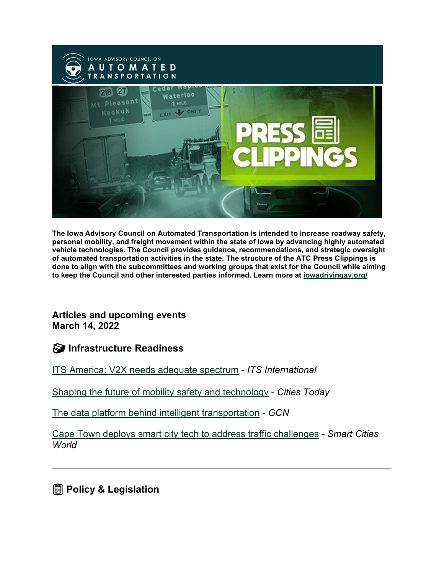

**The Iowa Advisory Council on Automated Transportation is intended to increase roadway safety, personal mobility, and freight movement within the state of Iowa by advancing highly automated vehicle technologies. The Council provides guidance, recommendations, and strategic oversight of automated transportation activities in the state. The structure of the ATC Press Clippings is done to align with the subcommittees and working groups that exist for the Council while aiming to keep the Council and other interested parties informed. Learn more at [iowadrivingav.org/](https://iowadrivingav.org/?utm_medium=email&utm_source=govdelivery)**

**Articles and upcoming events March 14, 2022**

**S** Infrastructure Readiness

[ITS America: V2X needs adequate spectrum](https://www.itsinternational.com/feature/its-america-v2x-needs-adequate-spectrum?utm_medium=email&utm_source=govdelivery) - *ITS International*

[Shaping the future of mobility safety and technology](https://cities-today.com/industry/shaping-future-mobility-safety-technology/?utm_medium=email&utm_source=govdelivery) - *Cities Today*

[The data platform behind intelligent transportation](https://gcn.com/data-analytics/2022/03/data-platform-behind-intelligent-transportation/362664/?utm_medium=email&utm_source=govdelivery) - *GCN*

[Cape Town deploys smart city tech to address traffic challenges](https://www.smartcitiesworld.net/analytics/analytics/cape-town-deploys-smart-city-tech-to-address-traffic-challenges?utm_medium=email&utm_source=govdelivery) *- Smart Cities World*

**Policy & Legislation**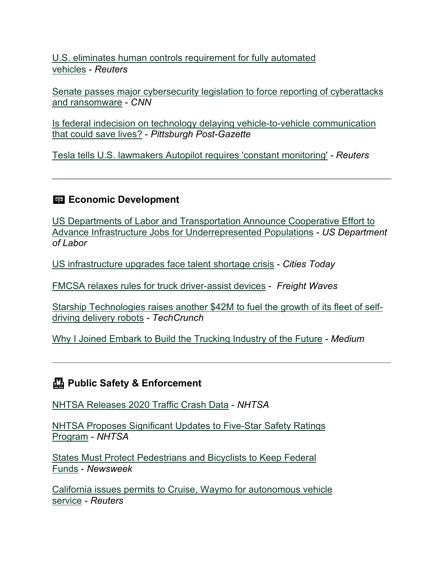[U.S. eliminates human controls requirement for fully automated](https://www.reuters.com/article/usa-autos-autonomous/u-s-eliminates-human-controls-requirement-for-fully-automated-vehicles-idUSL2N2VD39E?utm_medium=email&utm_source=govdelivery)  [vehicles](https://www.reuters.com/article/usa-autos-autonomous/u-s-eliminates-human-controls-requirement-for-fully-automated-vehicles-idUSL2N2VD39E?utm_medium=email&utm_source=govdelivery) - *Reuters*

[Senate passes major cybersecurity legislation to force reporting of cyberattacks](https://edition.cnn.com/2022/03/02/politics/senate-passes-major-cybersecurity-legislation/?utm_medium=email&utm_source=govdelivery)  [and ransomware](https://edition.cnn.com/2022/03/02/politics/senate-passes-major-cybersecurity-legislation/?utm_medium=email&utm_source=govdelivery) - *CNN*

[Is federal indecision on technology delaying vehicle-to-vehicle communication](https://www.post-gazette.com/news/nation/2022/02/27/roadway-safety-vehicle-to-vehicle-communication-U-S-Department-of-Transportation-National-Transportation-Safety-Board/stories/202202240155?utm_medium=email&utm_source=govdelivery)  [that could save lives?](https://www.post-gazette.com/news/nation/2022/02/27/roadway-safety-vehicle-to-vehicle-communication-U-S-Department-of-Transportation-National-Transportation-Safety-Board/stories/202202240155?utm_medium=email&utm_source=govdelivery) - *Pittsburgh Post-Gazette*

[Tesla tells U.S. lawmakers Autopilot requires 'constant monitoring'](https://www.reuters.com/business/autos-transportation/tesla-tells-us-lawmakers-autopilot-requires-constant-monitoring-2022-03-08/?utm_medium=email&utm_source=govdelivery) *- Reuters*

### **Exp. Economic Development**

[US Departments of Labor and Transportation Announce Cooperative Effort to](https://www.dol.gov/newsroom/releases/osec/osec20220307?utm_medium=email&utm_source=govdelivery)  [Advance Infrastructure Jobs for Underrepresented Populations](https://www.dol.gov/newsroom/releases/osec/osec20220307?utm_medium=email&utm_source=govdelivery) - *US Department of Labor*

[US infrastructure upgrades face talent shortage crisis](https://cities-today.com/us-infrastructure-upgrades-face-talent-shortage-crisis/?utm_medium=email&utm_source=govdelivery) - *Cities Today*

[FMCSA relaxes rules for truck driver-assist devices](https://www.freightwaves.com/news/fmcsa-relaxes-rules-for-truck-driver-assist-devices?utm_medium=email&utm_source=govdelivery) - *Freight Waves*

[Starship Technologies raises another \\$42M to fuel the growth of its fleet of self](https://techcrunch.com/2022/03/01/starship-technologies-raises-another-42m-to-fuel-the-growth-of-its-fleet-of-self-driving-delivery-robots/?utm_medium=email&utm_source=govdelivery)[driving delivery robots](https://techcrunch.com/2022/03/01/starship-technologies-raises-another-42m-to-fuel-the-growth-of-its-fleet-of-self-driving-delivery-robots/?utm_medium=email&utm_source=govdelivery) *- TechCrunch*

[Why I Joined Embark to Build the Trucking Industry of the Future](https://medium.com/embark-trucks/why-i-joined-embark-to-build-the-trucking-industry-of-the-future-b92968afd018?utm_medium=email&utm_source=govdelivery) *- Medium*

## **Public Safety & Enforcement**

[NHTSA Releases 2020 Traffic Crash Data](https://www.nhtsa.gov/press-releases/2020-traffic-crash-data-fatalities?utm_medium=email&utm_source=govdelivery) - *NHTSA*

[NHTSA Proposes Significant Updates to Five-Star Safety Ratings](https://www.nhtsa.gov/press-releases/five-star-safety-ratings-program-updates-proposed?utm_medium=email&utm_source=govdelivery)  [Program](https://www.nhtsa.gov/press-releases/five-star-safety-ratings-program-updates-proposed?utm_medium=email&utm_source=govdelivery) - *NHTSA*

[States Must Protect Pedestrians and Bicyclists to Keep Federal](https://www.newsweek.com/states-must-protect-pedestrians-bicyclists-keep-federal-funds-1684178?utm_medium=email&utm_source=govdelivery)  [Funds](https://www.newsweek.com/states-must-protect-pedestrians-bicyclists-keep-federal-funds-1684178?utm_medium=email&utm_source=govdelivery) - *Newsweek*

[California issues permits to Cruise, Waymo for autonomous vehicle](https://www.reuters.com/technology/california-issues-permits-cruise-waymo-autonomous-vehicle-service-2022-02-28/?utm_medium=email&utm_source=govdelivery)  [service](https://www.reuters.com/technology/california-issues-permits-cruise-waymo-autonomous-vehicle-service-2022-02-28/?utm_medium=email&utm_source=govdelivery) - *Reuters*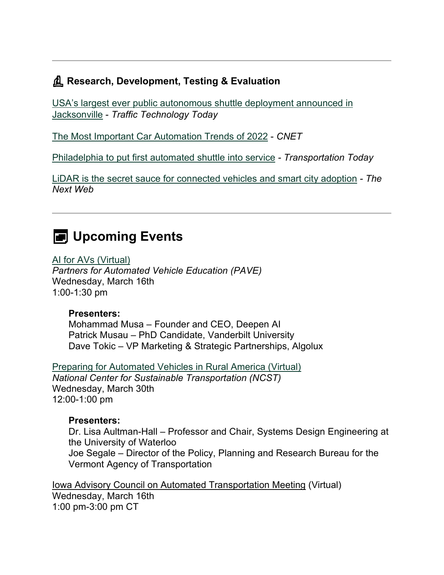### **Research, Development, Testing & Evaluation**

[USA's largest ever public autonomous shuttle deployment announced in](https://www.traffictechnologytoday.com/news/autonomous-vehicles/usas-largest-ever-public-autonomous-shuttle-deployment-announced-in-jacksonville.html?utm_medium=email&utm_source=govdelivery)  [Jacksonville](https://www.traffictechnologytoday.com/news/autonomous-vehicles/usas-largest-ever-public-autonomous-shuttle-deployment-announced-in-jacksonville.html?utm_medium=email&utm_source=govdelivery) - *Traffic Technology Today*

[The Most Important Car Automation Trends of 2022](https://www.cnet.com/roadshow/news/the-most-important-self-driving-cars-of-2022/?utm_medium=email&utm_source=govdelivery) - *CNET*

[Philadelphia to put first automated shuttle into service](https://transportationtodaynews.com/news/25714-philadelphia-to-put-first-automated-shuttle-into-service/?utm_medium=email&utm_source=govdelivery) *- Transportation Today*

[LiDAR is the secret sauce for connected vehicles and smart city adoption](https://thenextweb.com/news/lidar-is-the-critical-key-for-connected-vehicles-and-smart-city-success?utm_medium=email&utm_source=govdelivery) *- The Next Web*

# **EXED** Upcoming Events

#### [AI for AVs](https://pavecampaign.org/event/pave-virtual-panel-ai-for-avs/?utm_medium=email&utm_source=govdelivery) (Virtual)

*Partners for Automated Vehicle Education (PAVE)* Wednesday, March 16th 1:00-1:30 pm

#### **Presenters:**

Mohammad Musa – Founder and CEO, Deepen AI Patrick Musau – PhD Candidate, Vanderbilt University Dave Tokic – VP Marketing & Strategic Partnerships, Algolux

[Preparing for Automated Vehicles in Rural America](https://ncst.ucdavis.edu/events/webinar-preparing-automated-vehicles-rural-america?utm_medium=email&utm_source=govdelivery) (Virtual) *National Center for Sustainable Transportation (NCST)* Wednesday, March 30th 12:00-1:00 pm

#### **Presenters:**

Dr. Lisa Aultman-Hall – Professor and Chair, Systems Design Engineering at the University of Waterloo Joe Segale – Director of the Policy, Planning and Research Bureau for the Vermont Agency of Transportation

Iowa Advisory Council on Automated Transportation Meeting (Virtual) Wednesday, March 16th 1:00 pm-3:00 pm CT